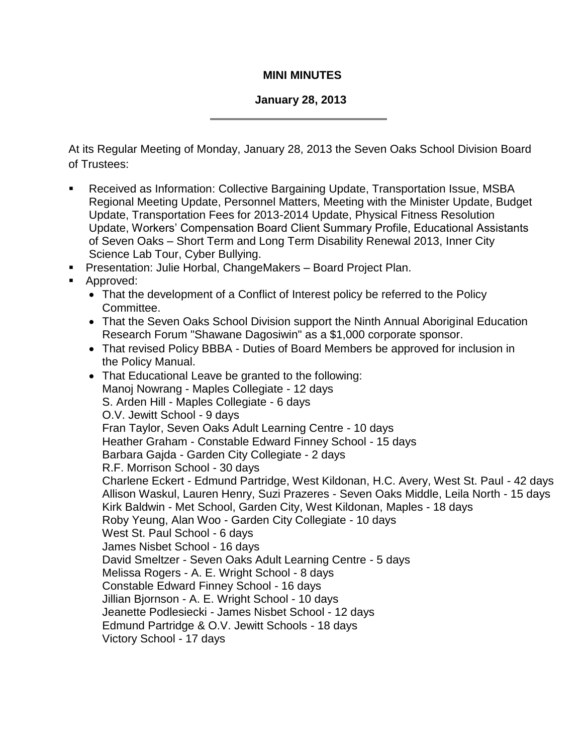## **MINI MINUTES**

## **January 28, 2013**

At its Regular Meeting of Monday, January 28, 2013 the Seven Oaks School Division Board of Trustees:

- Received as Information: Collective Bargaining Update, Transportation Issue, MSBA Regional Meeting Update, Personnel Matters, Meeting with the Minister Update, Budget Update, Transportation Fees for 2013-2014 Update, Physical Fitness Resolution Update, Workers' Compensation Board Client Summary Profile, Educational Assistants of Seven Oaks – Short Term and Long Term Disability Renewal 2013, Inner City Science Lab Tour, Cyber Bullying.
- Presentation: Julie Horbal, ChangeMakers Board Project Plan.
- **Approved:** 
	- That the development of a Conflict of Interest policy be referred to the Policy Committee.
	- That the Seven Oaks School Division support the Ninth Annual Aboriginal Education Research Forum "Shawane Dagosiwin" as a \$1,000 corporate sponsor.
	- That revised Policy BBBA Duties of Board Members be approved for inclusion in the Policy Manual.
	- That Educational Leave be granted to the following: Manoj Nowrang - Maples Collegiate - 12 days S. Arden Hill - Maples Collegiate - 6 days O.V. Jewitt School - 9 days Fran Taylor, Seven Oaks Adult Learning Centre - 10 days Heather Graham - Constable Edward Finney School - 15 days Barbara Gajda - Garden City Collegiate - 2 days R.F. Morrison School - 30 days Charlene Eckert - Edmund Partridge, West Kildonan, H.C. Avery, West St. Paul - 42 days Allison Waskul, Lauren Henry, Suzi Prazeres - Seven Oaks Middle, Leila North - 15 days Kirk Baldwin - Met School, Garden City, West Kildonan, Maples - 18 days Roby Yeung, Alan Woo - Garden City Collegiate - 10 days West St. Paul School - 6 days James Nisbet School - 16 days David Smeltzer - Seven Oaks Adult Learning Centre - 5 days Melissa Rogers - A. E. Wright School - 8 days Constable Edward Finney School - 16 days Jillian Bjornson - A. E. Wright School - 10 days Jeanette Podlesiecki - James Nisbet School - 12 days Edmund Partridge & O.V. Jewitt Schools - 18 days Victory School - 17 days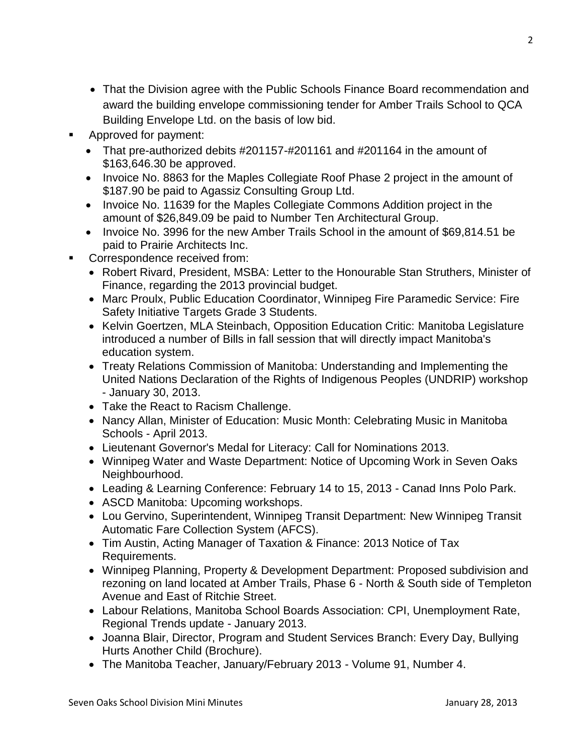- That the Division agree with the Public Schools Finance Board recommendation and award the building envelope commissioning tender for Amber Trails School to QCA Building Envelope Ltd. on the basis of low bid.
- Approved for payment:
	- That pre-authorized debits #201157-#201161 and #201164 in the amount of \$163,646.30 be approved.
	- Invoice No. 8863 for the Maples Collegiate Roof Phase 2 project in the amount of \$187.90 be paid to Agassiz Consulting Group Ltd.
	- Invoice No. 11639 for the Maples Collegiate Commons Addition project in the amount of \$26,849.09 be paid to Number Ten Architectural Group.
	- Invoice No. 3996 for the new Amber Trails School in the amount of \$69,814.51 be paid to Prairie Architects Inc.
- Correspondence received from:
	- Robert Rivard, President, MSBA: Letter to the Honourable Stan Struthers, Minister of Finance, regarding the 2013 provincial budget.
	- Marc Proulx, Public Education Coordinator, Winnipeg Fire Paramedic Service: Fire Safety Initiative Targets Grade 3 Students.
	- Kelvin Goertzen, MLA Steinbach, Opposition Education Critic: Manitoba Legislature introduced a number of Bills in fall session that will directly impact Manitoba's education system.
	- Treaty Relations Commission of Manitoba: Understanding and Implementing the United Nations Declaration of the Rights of Indigenous Peoples (UNDRIP) workshop - January 30, 2013.
	- Take the React to Racism Challenge.
	- Nancy Allan, Minister of Education: Music Month: Celebrating Music in Manitoba Schools - April 2013.
	- Lieutenant Governor's Medal for Literacy: Call for Nominations 2013.
	- Winnipeg Water and Waste Department: Notice of Upcoming Work in Seven Oaks Neighbourhood.
	- Leading & Learning Conference: February 14 to 15, 2013 Canad Inns Polo Park.
	- ASCD Manitoba: Upcoming workshops.
	- Lou Gervino, Superintendent, Winnipeg Transit Department: New Winnipeg Transit Automatic Fare Collection System (AFCS).
	- Tim Austin, Acting Manager of Taxation & Finance: 2013 Notice of Tax Requirements.
	- Winnipeg Planning, Property & Development Department: Proposed subdivision and rezoning on land located at Amber Trails, Phase 6 - North & South side of Templeton Avenue and East of Ritchie Street.
	- Labour Relations, Manitoba School Boards Association: CPI, Unemployment Rate, Regional Trends update - January 2013.
	- Joanna Blair, Director, Program and Student Services Branch: Every Day, Bullying Hurts Another Child (Brochure).
	- The Manitoba Teacher, January/February 2013 Volume 91, Number 4.